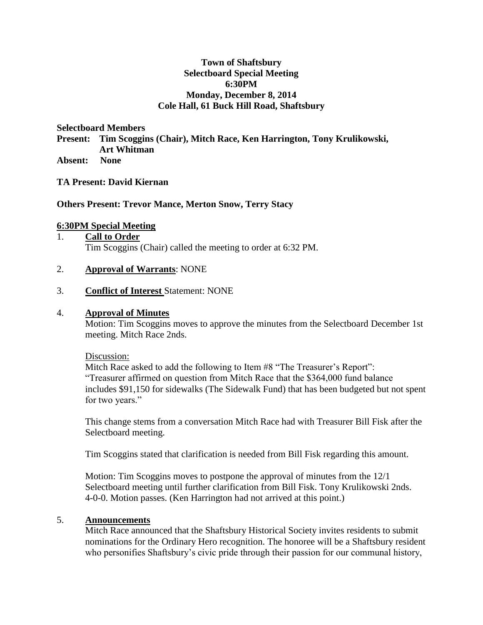### **Town of Shaftsbury Selectboard Special Meeting 6:30PM Monday, December 8, 2014 Cole Hall, 61 Buck Hill Road, Shaftsbury**

**Selectboard Members** 

**Present: Tim Scoggins (Chair), Mitch Race, Ken Harrington, Tony Krulikowski, Art Whitman**

**Absent: None**

### **TA Present: David Kiernan**

### **Others Present: Trevor Mance, Merton Snow, Terry Stacy**

### **6:30PM Special Meeting**

### 1. **Call to Order** Tim Scoggins (Chair) called the meeting to order at 6:32 PM.

### 2. **Approval of Warrants**: NONE

#### 3. **Conflict of Interest** Statement: NONE

#### 4. **Approval of Minutes**

Motion: Tim Scoggins moves to approve the minutes from the Selectboard December 1st meeting. Mitch Race 2nds.

#### Discussion:

Mitch Race asked to add the following to Item #8 "The Treasurer's Report": "Treasurer affirmed on question from Mitch Race that the \$364,000 fund balance includes \$91,150 for sidewalks (The Sidewalk Fund) that has been budgeted but not spent for two years."

This change stems from a conversation Mitch Race had with Treasurer Bill Fisk after the Selectboard meeting.

Tim Scoggins stated that clarification is needed from Bill Fisk regarding this amount.

Motion: Tim Scoggins moves to postpone the approval of minutes from the 12/1 Selectboard meeting until further clarification from Bill Fisk. Tony Krulikowski 2nds. 4-0-0. Motion passes. (Ken Harrington had not arrived at this point.)

#### 5. **Announcements**

Mitch Race announced that the Shaftsbury Historical Society invites residents to submit nominations for the Ordinary Hero recognition. The honoree will be a Shaftsbury resident who personifies Shaftsbury's civic pride through their passion for our communal history,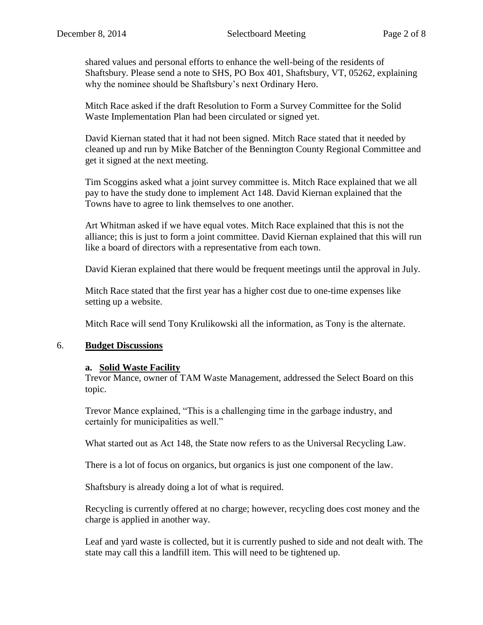shared values and personal efforts to enhance the well-being of the residents of Shaftsbury. Please send a note to SHS, PO Box 401, Shaftsbury, VT, 05262, explaining why the nominee should be Shaftsbury's next Ordinary Hero.

Mitch Race asked if the draft Resolution to Form a Survey Committee for the Solid Waste Implementation Plan had been circulated or signed yet.

David Kiernan stated that it had not been signed. Mitch Race stated that it needed by cleaned up and run by Mike Batcher of the Bennington County Regional Committee and get it signed at the next meeting.

Tim Scoggins asked what a joint survey committee is. Mitch Race explained that we all pay to have the study done to implement Act 148. David Kiernan explained that the Towns have to agree to link themselves to one another.

Art Whitman asked if we have equal votes. Mitch Race explained that this is not the alliance; this is just to form a joint committee. David Kiernan explained that this will run like a board of directors with a representative from each town.

David Kieran explained that there would be frequent meetings until the approval in July.

Mitch Race stated that the first year has a higher cost due to one-time expenses like setting up a website.

Mitch Race will send Tony Krulikowski all the information, as Tony is the alternate.

### 6. **Budget Discussions**

### **a. Solid Waste Facility**

Trevor Mance, owner of TAM Waste Management, addressed the Select Board on this topic.

Trevor Mance explained, "This is a challenging time in the garbage industry, and certainly for municipalities as well."

What started out as Act 148, the State now refers to as the Universal Recycling Law.

There is a lot of focus on organics, but organics is just one component of the law.

Shaftsbury is already doing a lot of what is required.

Recycling is currently offered at no charge; however, recycling does cost money and the charge is applied in another way.

Leaf and yard waste is collected, but it is currently pushed to side and not dealt with. The state may call this a landfill item. This will need to be tightened up.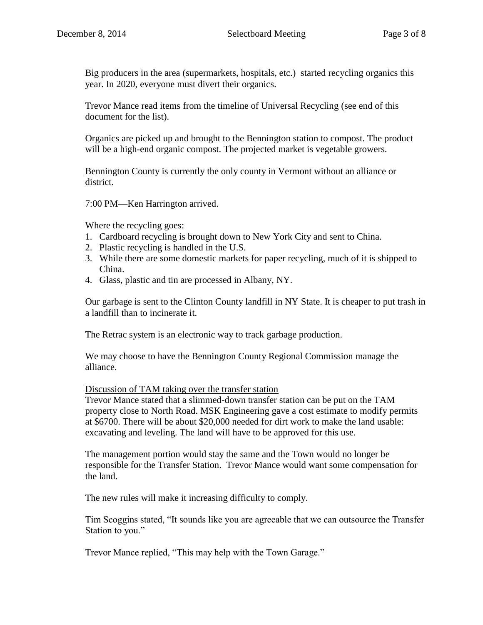Big producers in the area (supermarkets, hospitals, etc.) started recycling organics this year. In 2020, everyone must divert their organics.

Trevor Mance read items from the timeline of Universal Recycling (see end of this document for the list).

Organics are picked up and brought to the Bennington station to compost. The product will be a high-end organic compost. The projected market is vegetable growers.

Bennington County is currently the only county in Vermont without an alliance or district.

7:00 PM—Ken Harrington arrived.

Where the recycling goes:

- 1. Cardboard recycling is brought down to New York City and sent to China.
- 2. Plastic recycling is handled in the U.S.
- 3. While there are some domestic markets for paper recycling, much of it is shipped to China.
- 4. Glass, plastic and tin are processed in Albany, NY.

Our garbage is sent to the Clinton County landfill in NY State. It is cheaper to put trash in a landfill than to incinerate it.

The Retrac system is an electronic way to track garbage production.

We may choose to have the Bennington County Regional Commission manage the alliance.

Discussion of TAM taking over the transfer station

Trevor Mance stated that a slimmed-down transfer station can be put on the TAM property close to North Road. MSK Engineering gave a cost estimate to modify permits at \$6700. There will be about \$20,000 needed for dirt work to make the land usable: excavating and leveling. The land will have to be approved for this use.

The management portion would stay the same and the Town would no longer be responsible for the Transfer Station. Trevor Mance would want some compensation for the land.

The new rules will make it increasing difficulty to comply.

Tim Scoggins stated, "It sounds like you are agreeable that we can outsource the Transfer Station to you."

Trevor Mance replied, "This may help with the Town Garage."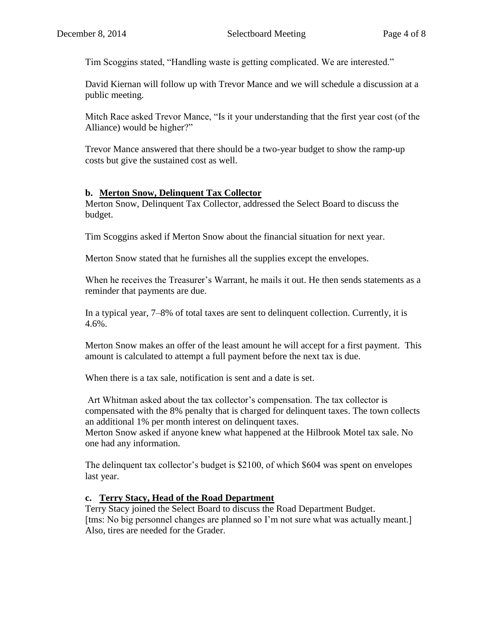Tim Scoggins stated, "Handling waste is getting complicated. We are interested."

David Kiernan will follow up with Trevor Mance and we will schedule a discussion at a public meeting.

Mitch Race asked Trevor Mance, "Is it your understanding that the first year cost (of the Alliance) would be higher?"

Trevor Mance answered that there should be a two-year budget to show the ramp-up costs but give the sustained cost as well.

## **b. Merton Snow, Delinquent Tax Collector**

Merton Snow, Delinquent Tax Collector, addressed the Select Board to discuss the budget.

Tim Scoggins asked if Merton Snow about the financial situation for next year.

Merton Snow stated that he furnishes all the supplies except the envelopes.

When he receives the Treasurer's Warrant, he mails it out. He then sends statements as a reminder that payments are due.

In a typical year, 7–8% of total taxes are sent to delinquent collection. Currently, it is  $4.6\%$ .

Merton Snow makes an offer of the least amount he will accept for a first payment. This amount is calculated to attempt a full payment before the next tax is due.

When there is a tax sale, notification is sent and a date is set.

Art Whitman asked about the tax collector's compensation. The tax collector is compensated with the 8% penalty that is charged for delinquent taxes. The town collects an additional 1% per month interest on delinquent taxes.

Merton Snow asked if anyone knew what happened at the Hilbrook Motel tax sale. No one had any information.

The delinquent tax collector's budget is \$2100, of which \$604 was spent on envelopes last year.

## **c. Terry Stacy, Head of the Road Department**

Terry Stacy joined the Select Board to discuss the Road Department Budget. [tms: No big personnel changes are planned so I'm not sure what was actually meant.] Also, tires are needed for the Grader.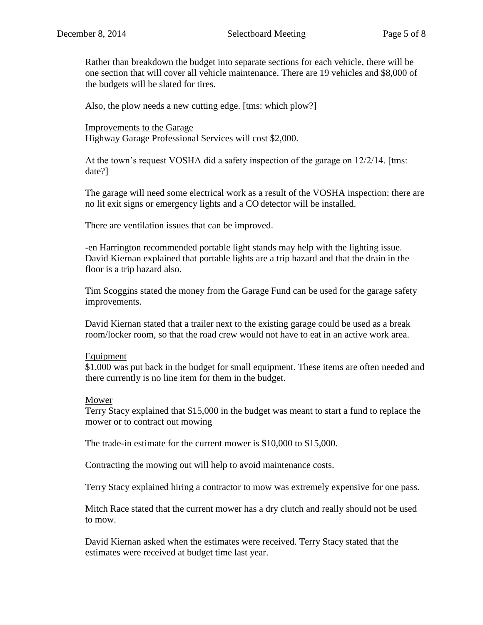Rather than breakdown the budget into separate sections for each vehicle, there will be one section that will cover all vehicle maintenance. There are 19 vehicles and \$8,000 of the budgets will be slated for tires.

Also, the plow needs a new cutting edge. [tms: which plow?]

Improvements to the Garage Highway Garage Professional Services will cost \$2,000.

At the town's request VOSHA did a safety inspection of the garage on 12/2/14. [tms: date?]

The garage will need some electrical work as a result of the VOSHA inspection: there are no lit exit signs or emergency lights and a CO detector will be installed.

There are ventilation issues that can be improved.

-en Harrington recommended portable light stands may help with the lighting issue. David Kiernan explained that portable lights are a trip hazard and that the drain in the floor is a trip hazard also.

Tim Scoggins stated the money from the Garage Fund can be used for the garage safety improvements.

David Kiernan stated that a trailer next to the existing garage could be used as a break room/locker room, so that the road crew would not have to eat in an active work area.

### Equipment

\$1,000 was put back in the budget for small equipment. These items are often needed and there currently is no line item for them in the budget.

#### Mower

Terry Stacy explained that \$15,000 in the budget was meant to start a fund to replace the mower or to contract out mowing

The trade-in estimate for the current mower is \$10,000 to \$15,000.

Contracting the mowing out will help to avoid maintenance costs.

Terry Stacy explained hiring a contractor to mow was extremely expensive for one pass.

Mitch Race stated that the current mower has a dry clutch and really should not be used to mow.

David Kiernan asked when the estimates were received. Terry Stacy stated that the estimates were received at budget time last year.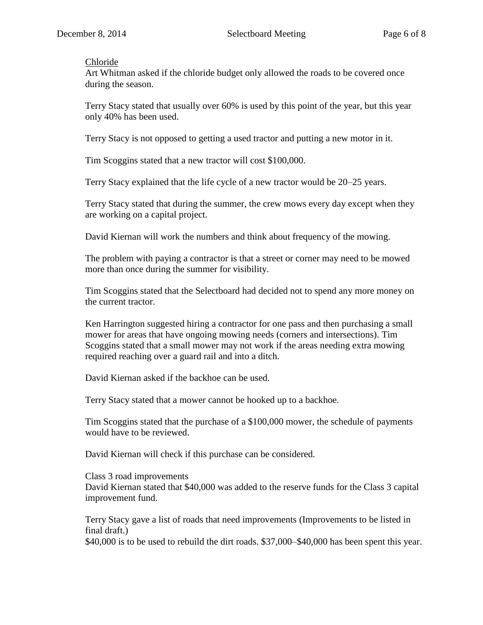### Chloride

Art Whitman asked if the chloride budget only allowed the roads to be covered once during the season.

Terry Stacy stated that usually over 60% is used by this point of the year, but this year only 40% has been used.

Terry Stacy is not opposed to getting a used tractor and putting a new motor in it.

Tim Scoggins stated that a new tractor will cost \$100,000.

Terry Stacy explained that the life cycle of a new tractor would be 20–25 years.

Terry Stacy stated that during the summer, the crew mows every day except when they are working on a capital project.

David Kiernan will work the numbers and think about frequency of the mowing.

The problem with paying a contractor is that a street or corner may need to be mowed more than once during the summer for visibility.

Tim Scoggins stated that the Selectboard had decided not to spend any more money on the current tractor.

Ken Harrington suggested hiring a contractor for one pass and then purchasing a small mower for areas that have ongoing mowing needs (corners and intersections). Tim Scoggins stated that a small mower may not work if the areas needing extra mowing required reaching over a guard rail and into a ditch.

David Kiernan asked if the backhoe can be used.

Terry Stacy stated that a mower cannot be hooked up to a backhoe.

Tim Scoggins stated that the purchase of a \$100,000 mower, the schedule of payments would have to be reviewed.

David Kiernan will check if this purchase can be considered.

Class 3 road improvements David Kiernan stated that \$40,000 was added to the reserve funds for the Class 3 capital improvement fund.

Terry Stacy gave a list of roads that need improvements (Improvements to be listed in final draft.)

\$40,000 is to be used to rebuild the dirt roads. \$37,000–\$40,000 has been spent this year.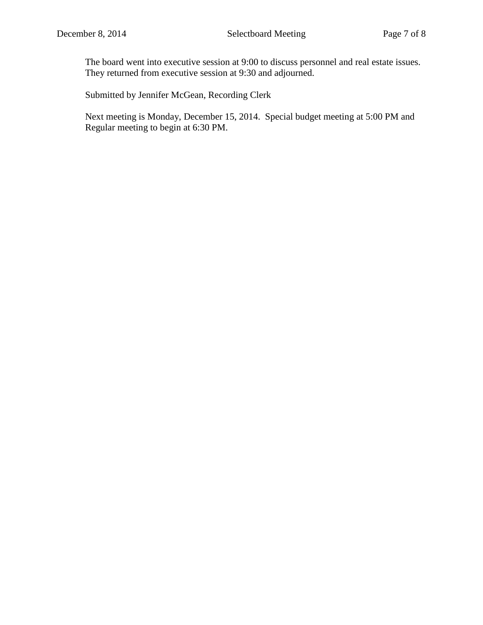The board went into executive session at 9:00 to discuss personnel and real estate issues. They returned from executive session at 9:30 and adjourned.

Submitted by Jennifer McGean, Recording Clerk

Next meeting is Monday, December 15, 2014. Special budget meeting at 5:00 PM and Regular meeting to begin at 6:30 PM.